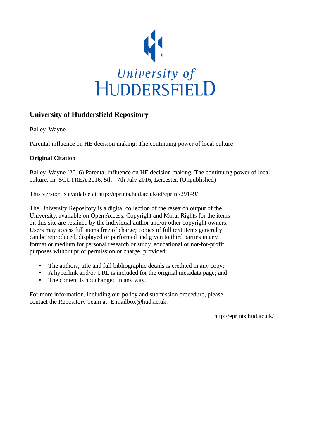

# **University of Huddersfield Repository**

Bailey, Wayne

Parental influence on HE decision making: The continuing power of local culture

### **Original Citation**

Bailey, Wayne (2016) Parental influence on HE decision making: The continuing power of local culture. In: SCUTREA 2016, 5th - 7th July 2016, Leicester. (Unpublished)

This version is available at http://eprints.hud.ac.uk/id/eprint/29149/

The University Repository is a digital collection of the research output of the University, available on Open Access. Copyright and Moral Rights for the items on this site are retained by the individual author and/or other copyright owners. Users may access full items free of charge; copies of full text items generally can be reproduced, displayed or performed and given to third parties in any format or medium for personal research or study, educational or not-for-profit purposes without prior permission or charge, provided:

- The authors, title and full bibliographic details is credited in any copy;
- A hyperlink and/or URL is included for the original metadata page; and
- The content is not changed in any way.

For more information, including our policy and submission procedure, please contact the Repository Team at: E.mailbox@hud.ac.uk.

http://eprints.hud.ac.uk/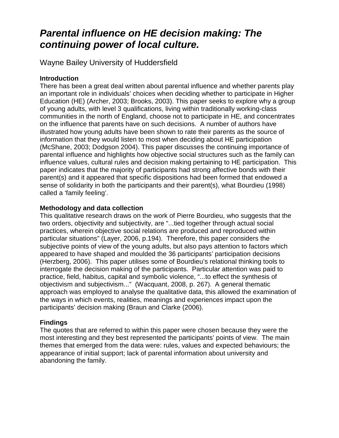# *Parental influence on HE decision making: The continuing power of local culture.*

Wayne Bailey University of Huddersfield

## **Introduction**

There has been a great deal written about parental influence and whether parents play an important role in individuals' choices when deciding whether to participate in Higher Education (HE) (Archer, 2003; Brooks, 2003). This paper seeks to explore why a group of young adults, with level 3 qualifications, living within traditionally working-class communities in the north of England, choose not to participate in HE, and concentrates on the influence that parents have on such decisions. A number of authors have illustrated how young adults have been shown to rate their parents as the source of information that they would listen to most when deciding about HE participation (McShane, 2003; Dodgson 2004). This paper discusses the continuing importance of parental influence and highlights how objective social structures such as the family can influence values, cultural rules and decision making pertaining to HE participation. This paper indicates that the majority of participants had strong affective bonds with their parent(s) and it appeared that specific dispositions had been formed that endowed a sense of solidarity in both the participants and their parent(s), what Bourdieu (1998) called a 'family feeling'.

## **Methodology and data collection**

This qualitative research draws on the work of Pierre Bourdieu, who suggests that the two orders, objectivity and subjectivity, are "...tied together through actual social practices, wherein objective social relations are produced and reproduced within particular situations" (Layer, 2006, p.194). Therefore, this paper considers the subjective points of view of the young adults, but also pays attention to factors which appeared to have shaped and moulded the 36 participants' participation decisions (Herzberg, 2006). This paper utilises some of Bourdieu's relational thinking tools to interrogate the decision making of the participants. Particular attention was paid to practice, field, habitus, capital and symbolic violence, "...to effect the synthesis of objectivism and subjectivism..." (Wacquant, 2008, p. 267). A general thematic approach was employed to analyse the qualitative data, this allowed the examination of the ways in which events, realities, meanings and experiences impact upon the participants' decision making (Braun and Clarke (2006).

# **Findings**

The quotes that are referred to within this paper were chosen because they were the most interesting and they best represented the participants' points of view. The main themes that emerged from the data were: rules, values and expected behaviours; the appearance of initial support; lack of parental information about university and abandoning the family.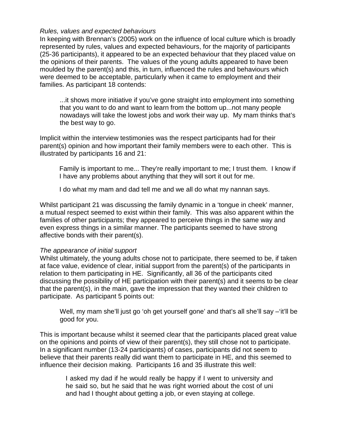#### *Rules, values and expected behaviours*

In keeping with Brennan's (2005) work on the influence of local culture which is broadly represented by rules, values and expected behaviours, for the majority of participants (25-36 participants), it appeared to be an expected behaviour that they placed value on the opinions of their parents. The values of the young adults appeared to have been moulded by the parent(s) and this, in turn, influenced the rules and behaviours which were deemed to be acceptable, particularly when it came to employment and their families. As participant 18 contends:

...it shows more initiative if you've gone straight into employment into something that you want to do and want to learn from the bottom up...not many people nowadays will take the lowest jobs and work their way up. My mam thinks that's the best way to go.

Implicit within the interview testimonies was the respect participants had for their parent(s) opinion and how important their family members were to each other. This is illustrated by participants 16 and 21:

Family is important to me... They're really important to me; I trust them. I know if I have any problems about anything that they will sort it out for me.

I do what my mam and dad tell me and we all do what my nannan says.

Whilst participant 21 was discussing the family dynamic in a 'tongue in cheek' manner, a mutual respect seemed to exist within their family. This was also apparent within the families of other participants; they appeared to perceive things in the same way and even express things in a similar manner. The participants seemed to have strong affective bonds with their parent(s).

#### *The appearance of initial support*

Whilst ultimately, the young adults chose not to participate, there seemed to be, if taken at face value, evidence of clear, initial support from the parent(s) of the participants in relation to them participating in HE. Significantly, all 36 of the participants cited discussing the possibility of HE participation with their parent(s) and it seems to be clear that the parent(s), in the main, gave the impression that they wanted their children to participate. As participant 5 points out:

Well, my mam she'll just go 'oh get yourself gone' and that's all she'll say –'it'll be good for you.

This is important because whilst it seemed clear that the participants placed great value on the opinions and points of view of their parent(s), they still chose not to participate. In a significant number (13-24 participants) of cases, participants did not seem to believe that their parents really did want them to participate in HE, and this seemed to influence their decision making. Participants 16 and 35 illustrate this well:

I asked my dad if he would really be happy if I went to university and he said so, but he said that he was right worried about the cost of uni and had I thought about getting a job, or even staying at college.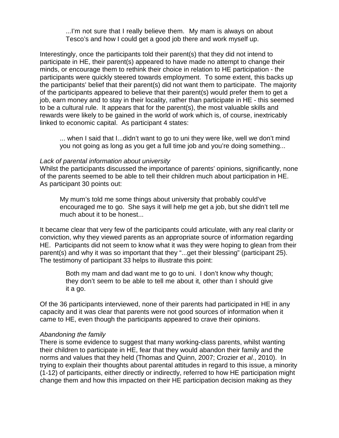...I'm not sure that I really believe them. My mam is always on about Tesco's and how I could get a good job there and work myself up.

Interestingly, once the participants told their parent(s) that they did not intend to participate in HE, their parent(s) appeared to have made no attempt to change their minds, or encourage them to rethink their choice in relation to HE participation - the participants were quickly steered towards employment. To some extent, this backs up the participants' belief that their parent(s) did not want them to participate. The majority of the participants appeared to believe that their parent(s) would prefer them to get a job, earn money and to stay in their locality, rather than participate in HE - this seemed to be a cultural rule. It appears that for the parent(s), the most valuable skills and rewards were likely to be gained in the world of work which is, of course, inextricably linked to economic capital. As participant 4 states:

... when I said that I...didn't want to go to uni they were like, well we don't mind you not going as long as you get a full time job and you're doing something...

#### *Lack of parental information about university*

Whilst the participants discussed the importance of parents' opinions, significantly, none of the parents seemed to be able to tell their children much about participation in HE. As participant 30 points out:

My mum's told me some things about university that probably could've encouraged me to go. She says it will help me get a job, but she didn't tell me much about it to be honest...

It became clear that very few of the participants could articulate, with any real clarity or conviction, why they viewed parents as an appropriate source of information regarding HE. Participants did not seem to know what it was they were hoping to glean from their parent(s) and why it was so important that they "...get their blessing" (participant 25). The testimony of participant 33 helps to illustrate this point:

> Both my mam and dad want me to go to uni. I don't know why though; they don't seem to be able to tell me about it, other than I should give it a go.

Of the 36 participants interviewed, none of their parents had participated in HE in any capacity and it was clear that parents were not good sources of information when it came to HE, even though the participants appeared to crave their opinions.

#### *Abandoning the family*

There is some evidence to suggest that many working-class parents, whilst wanting their children to participate in HE, fear that they would abandon their family and the norms and values that they held (Thomas and Quinn, 2007; Crozier *et al*., 2010). In trying to explain their thoughts about parental attitudes in regard to this issue, a minority (1-12) of participants, either directly or indirectly, referred to how HE participation might change them and how this impacted on their HE participation decision making as they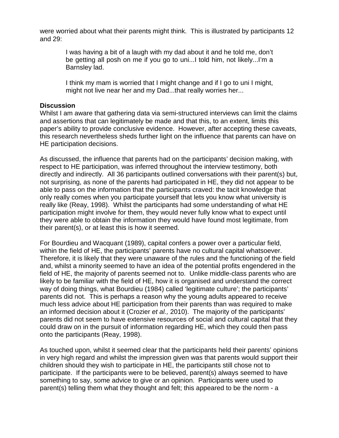were worried about what their parents might think. This is illustrated by participants 12 and 29:

> I was having a bit of a laugh with my dad about it and he told me, don't be getting all posh on me if you go to uni...I told him, not likely...I'm a Barnsley lad.

> I think my mam is worried that I might change and if I go to uni I might, might not live near her and my Dad...that really worries her...

#### **Discussion**

Whilst I am aware that gathering data via semi-structured interviews can limit the claims and assertions that can legitimately be made and that this, to an extent, limits this paper's ability to provide conclusive evidence. However, after accepting these caveats, this research nevertheless sheds further light on the influence that parents can have on HE participation decisions.

As discussed, the influence that parents had on the participants' decision making, with respect to HE participation, was inferred throughout the interview testimony, both directly and indirectly. All 36 participants outlined conversations with their parent(s) but, not surprising, as none of the parents had participated in HE, they did not appear to be able to pass on the information that the participants craved: the tacit knowledge that only really comes when you participate yourself that lets you know what university is really like (Reay, 1998). Whilst the participants had some understanding of what HE participation might involve for them, they would never fully know what to expect until they were able to obtain the information they would have found most legitimate, from their parent(s), or at least this is how it seemed.

For Bourdieu and Wacquant (1989), capital confers a power over a particular field, within the field of HE, the participants' parents have no cultural capital whatsoever. Therefore, it is likely that they were unaware of the rules and the functioning of the field and, whilst a minority seemed to have an idea of the potential profits engendered in the field of HE, the majority of parents seemed not to. Unlike middle-class parents who are likely to be familiar with the field of HE, how it is organised and understand the correct way of doing things, what Bourdieu (1984) called 'legitimate culture'; the participants' parents did not. This is perhaps a reason why the young adults appeared to receive much less advice about HE participation from their parents than was required to make an informed decision about it (Crozier *et al.,* 2010). The majority of the participants' parents did not seem to have extensive resources of social and cultural capital that they could draw on in the pursuit of information regarding HE, which they could then pass onto the participants (Reay, 1998).

As touched upon, whilst it seemed clear that the participants held their parents' opinions in very high regard and whilst the impression given was that parents would support their children should they wish to participate in HE, the participants still chose not to participate. If the participants were to be believed, parent(s) always seemed to have something to say, some advice to give or an opinion. Participants were used to parent(s) telling them what they thought and felt; this appeared to be the norm - a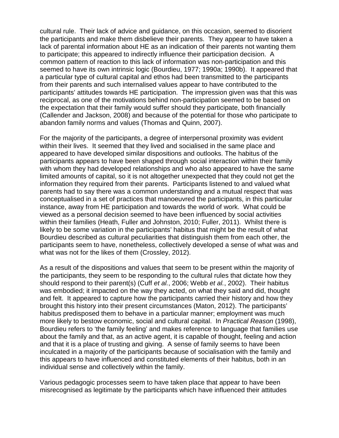cultural rule. Their lack of advice and guidance, on this occasion, seemed to disorient the participants and make them disbelieve their parents. They appear to have taken a lack of parental information about HE as an indication of their parents not wanting them to participate; this appeared to indirectly influence their participation decision. A common pattern of reaction to this lack of information was non-participation and this seemed to have its own intrinsic logic (Bourdieu, 1977; 1990a; 1990b). It appeared that a particular type of cultural capital and ethos had been transmitted to the participants from their parents and such internalised values appear to have contributed to the participants' attitudes towards HE participation. The impression given was that this was reciprocal, as one of the motivations behind non-participation seemed to be based on the expectation that their family would suffer should they participate, both financially (Callender and Jackson, 2008) and because of the potential for those who participate to abandon family norms and values (Thomas and Quinn, 2007).

For the majority of the participants, a degree of interpersonal proximity was evident within their lives. It seemed that they lived and socialised in the same place and appeared to have developed similar dispositions and outlooks. The habitus of the participants appears to have been shaped through social interaction within their family with whom they had developed relationships and who also appeared to have the same limited amounts of capital, so it is not altogether unexpected that they could not get the information they required from their parents. Participants listened to and valued what parents had to say there was a common understanding and a mutual respect that was conceptualised in a set of practices that manoeuvred the participants, in this particular instance, away from HE participation and towards the world of work. What could be viewed as a personal decision seemed to have been influenced by social activities within their families (Heath, Fuller and Johnston, 2010; Fuller, 2011). Whilst there is likely to be some variation in the participants' habitus that might be the result of what Bourdieu described as cultural peculiarities that distinguish them from each other, the participants seem to have, nonetheless, collectively developed a sense of what was and what was not for the likes of them (Crossley, 2012).

As a result of the dispositions and values that seem to be present within the majority of the participants, they seem to be responding to the cultural rules that dictate how they should respond to their parent(s) (Cuff *et al.*, 2006; Webb *et al.*, 2002). Their habitus was embodied; it impacted on the way they acted, on what they said and did, thought and felt. It appeared to capture how the participants carried their history and how they brought this history into their present circumstances (Maton, 2012). The participants' habitus predisposed them to behave in a particular manner; employment was much more likely to bestow economic, social and cultural capital. In *Practical Reason* (1998), Bourdieu refers to 'the family feeling' and makes reference to language that families use about the family and that, as an active agent, it is capable of thought, feeling and action and that it is a place of trusting and giving. A sense of family seems to have been inculcated in a majority of the participants because of socialisation with the family and this appears to have influenced and constituted elements of their habitus, both in an individual sense and collectively within the family.

Various pedagogic processes seem to have taken place that appear to have been misrecognised as legitimate by the participants which have influenced their attitudes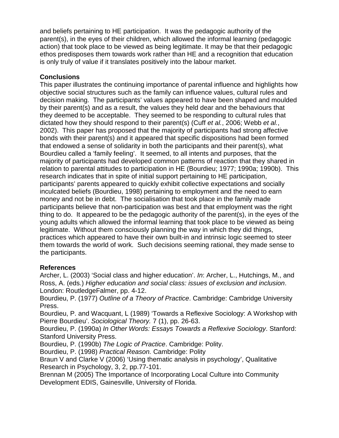and beliefs pertaining to HE participation. It was the pedagogic authority of the parent(s), in the eyes of their children, which allowed the informal learning (pedagogic action) that took place to be viewed as being legitimate. It may be that their pedagogic ethos predisposes them towards work rather than HE and a recognition that education is only truly of value if it translates positively into the labour market.

## **Conclusions**

This paper illustrates the continuing importance of parental influence and highlights how objective social structures such as the family can influence values, cultural rules and decision making. The participants' values appeared to have been shaped and moulded by their parent(s) and as a result, the values they held dear and the behaviours that they deemed to be acceptable. They seemed to be responding to cultural rules that dictated how they should respond to their parent(s) (Cuff *et al.*, 2006; Webb *et al.*, 2002). This paper has proposed that the majority of participants had strong affective bonds with their parent(s) and it appeared that specific dispositions had been formed that endowed a sense of solidarity in both the participants and their parent(s), what Bourdieu called a 'family feeling'. It seemed, to all intents and purposes, that the majority of participants had developed common patterns of reaction that they shared in relation to parental attitudes to participation in HE (Bourdieu; 1977; 1990a; 1990b). This research indicates that in spite of initial support pertaining to HE participation, participants' parents appeared to quickly exhibit collective expectations and socially inculcated beliefs (Bourdieu, 1998) pertaining to employment and the need to earn money and not be in debt. The socialisation that took place in the family made participants believe that non-participation was best and that employment was the right thing to do. It appeared to be the pedagogic authority of the parent(s), in the eyes of the young adults which allowed the informal learning that took place to be viewed as being legitimate. Without them consciously planning the way in which they did things, practices which appeared to have their own built-in and intrinsic logic seemed to steer them towards the world of work. Such decisions seeming rational, they made sense to the participants.

#### **References**

Archer, L. (2003) 'Social class and higher education'. *In*: Archer, L., Hutchings, M., and Ross, A. (eds.) *Higher education and social class: issues of exclusion and inclusion*. London: RoutledgeFalmer, pp. 4-12.

Bourdieu, P. (1977) *Outline of a Theory of Practice*. Cambridge: Cambridge University Press.

Bourdieu, P. and Wacquant, L (1989) 'Towards a Reflexive Sociology: A Workshop with Pierre Bourdieu'. *Sociological Theory.* 7 (1), pp. 26-63.

Bourdieu, P. (1990a) *In Other Words: Essays Towards a Reflexive Sociology*. Stanford: Stanford University Press.

Bourdieu, P. (1990b) *The Logic of Practice*. Cambridge: Polity.

Bourdieu, P. (1998) *Practical Reason.* Cambridge: Polity

Braun V and Clarke V (2006) 'Using thematic analysis in psychology', Qualitative Research in Psychology, 3, 2, pp.77-101.

Brennan M (2005) The Importance of Incorporating Local Culture into Community Development EDIS, Gainesville, University of Florida.